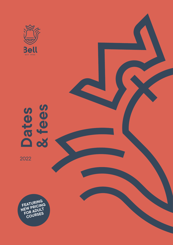

# **Dates & fees**

2022

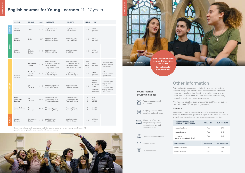

# **English courses for Young Learners** 11 - 17 years

|               | <b>COURSE</b>                         | <b>SCHOOL</b>                          | <b>AGE</b> | <b>START DATE</b>                                                                     | <b>END DATE</b>                                                                            | <b>WEEKS</b>                           | FEES*                                                               |                                                                                                                    |
|---------------|---------------------------------------|----------------------------------------|------------|---------------------------------------------------------------------------------------|--------------------------------------------------------------------------------------------|----------------------------------------|---------------------------------------------------------------------|--------------------------------------------------------------------------------------------------------------------|
| <b>WINTER</b> | Winter<br><b>Explorer</b>             | Online                                 | $11 - 17$  | Any Monday from<br>3 to 24 January                                                    | Any Friday from<br>7 to 28 January                                                         | $1 - 4$                                | £200<br>per week                                                    |                                                                                                                    |
|               | Spring<br><b>Explorer</b>             | Online                                 | $11 - 17$  | Any Monday from<br>28 March to 25 April                                               | Any Friday from<br>1 April to 29 April                                                     | $1 - 5$                                | £200<br>per week                                                    |                                                                                                                    |
| <b>SPRING</b> | Spring<br><b>Explorer</b>             | Bell<br><b>Berkshire</b><br>College    | $11 - 17$  | Any Sunday from<br>27 March to 24 April                                               | Any Saturday from<br>2 to 30 April                                                         | $1 - 5$                                | £930<br>per week                                                    |                                                                                                                    |
| <b>SUMMER</b> | <b>Summer</b><br><b>Explorer</b>      | <b>Bell Berkshire</b><br>College       | $11 - 17$  | Any Sunday from<br>5 June to 25 June; and<br>Any Sunday from<br>7 August to 14 August | Any Saturday from<br>11 June to 2 July; and<br>Any Saturday from<br>13 August to 20 August | June:<br>$1 - 4$<br>August:<br>$1 - 2$ | £1,235<br>per week                                                  | + £95 per one week<br>course for Academic<br>English Academy                                                       |
|               |                                       | <b>Bell Royal</b><br>Masonic<br>School | $11 - 17$  | Any Sunday from<br>3 July to 6 August                                                 | Any Saturday<br>9 July to 6 August                                                         | $1 - 5$                                | £1.295<br>per week                                                  | + £95 per one week<br>course for Academic<br>English Academy                                                       |
|               |                                       | Bell<br>The Leys                       | $11 - 17$  | Any Wednesday from<br>6 July to 10 August                                             | Any Tuesday from<br>12 July to 16 August                                                   | $1 - 6$                                | £1.450<br>week or<br>additional<br>weeks<br>£2.820 for<br>two weeks | + £95 per one week<br>course for Tennis<br>Academy<br>+ £95 per one week<br>course for Academic<br>English Academy |
|               | Young<br>Cambridge<br><b>Scholars</b> | Bell<br>The Leys                       | $14 - 17$  | Wednesday 6 July<br>Wednesday 20 July<br>Wednesday 3 August                           | Tuesday 19 July<br>Tuesday 2 August<br>Tuesday 16 August                                   | 2<br>$\overline{2}$<br>$\overline{2}$  | £3.900<br>£3,900<br>£3,900                                          |                                                                                                                    |
|               | <b>Young Business</b><br>Leaders      | Bell<br>The Leys                       | $14 - 17$  | Wednesday 6 July<br>Wednesday 27 July                                                 | Tuesday 26 July<br>Tuesday 16 August                                                       | 3<br>3                                 | £4,685<br>£4.685                                                    |                                                                                                                    |
| <b>AUTUMN</b> | Autumn<br><b>Explorer</b>             | <b>Bell Berkshire</b><br>College       | $11 - 17$  | Any Sunday from<br>9 to 23 October                                                    | Any Saturday from<br>15 to 29 October                                                      | $1 - 3$                                | £930 per<br>week                                                    |                                                                                                                    |

\* Course price, unless a weekly fee is quoted. In addition to course fees, all face-to-face bookings are subject to a £95 registration fee. No registration fee is required for online course bookings.

Return airport transfers are included in your course package fee, from designated airports and within scheduled arrival and departure times. Free shuttles will be available for arrivals and departures between 10am and 6pm (unless otherwise stated), depending on student travel requirements.

Any students travelling as an Unaccompanied Minor are subject to an additional £50 fee (per single journey).

**Important:** 

Arrival details for each student must be sent to Bell at least 10 working days before the start of course to guarantee an airport transfer. Please also notify us at least 7 working days if there are any changes to your departure date.





Accommodation, meals and tuition

Full programme of social activities and study tours

Airport transfers from designated airports on designated arrival and departure dates

Comprehensive insurance

Internet access

Laundry service



| <b>BELL BERKSHIRE COLLEGE &amp;</b><br><b>BELL ROYAL MASONIC SCHOOL</b> | 10AM - 6PM        | <b>OUT-OF-HOURS</b> |
|-------------------------------------------------------------------------|-------------------|---------------------|
| <b>London Heathrow</b>                                                  | Free              | £70                 |
| <b>London Stansted</b>                                                  | Free              | £140                |
| St. Pancras<br>(based on advised train times)                           | Free              | £140                |
| <b>BELL THE LEYS</b>                                                    | <b>10AM - 6PM</b> | <b>OUT-OF-HOURS</b> |
| London Heathrow                                                         | Free              | £170                |
| <b>London Stansted</b>                                                  | Free              | £85                 |

# **Other information**

**YOUNG LEARNERS**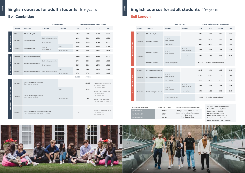# **Bell Cambridge Bell London**

| LONDON AND CAMBRIDGE | WEEKLY FEE I+ WEEKS | <b>ADDITIONAL HOU</b> |
|----------------------|---------------------|-----------------------|
| 1-to-1 tuition 15    | £1.320              | £80 per hour          |
| 1-to-1 tuition 20    | £1.695              | (when booked)<br>£95  |
| 1-to-1 tuition 25    | £2.055              | (when b               |

**\*PROJECT MANAGEMENT DATES** Monday 31 January - Friday 25 February Monday 6 June - Friday 1 July Monday 4 July - Friday 29 July Monday 1 August - Friday 26 August Monday 5 September - Friday 30 September Monday 14 November - Friday 9 December

**LOND BE 25 AND FEE AND EXAMPLE 14 PER WEEK** 

or £350 for 5 hours with another course)  $5$  per hour ooked alone)

**ADULTS**

|                               |              |                                                                                  | <b>HOURS PER WEEK</b>            |                | WEEKLY FEE (NUMBER OF WEEKS BOOKED) |                                                                           |                                                                                                    |                               |
|-------------------------------|--------------|----------------------------------------------------------------------------------|----------------------------------|----------------|-------------------------------------|---------------------------------------------------------------------------|----------------------------------------------------------------------------------------------------|-------------------------------|
|                               | <b>HOURS</b> | <b>15 HOURS</b>                                                                  | <b>5 HOURS</b>                   | <b>5 HOURS</b> | $1 - 4$                             | $5 - 11$                                                                  | $12 - 23$                                                                                          | $24+$                         |
|                               | 15 hours     | <b>Effective English</b>                                                         |                                  |                | £350                                | £320                                                                      | £290                                                                                               | £250                          |
| EFFECTIVE ENGLISH             |              | <b>Effective English</b>                                                         | <b>Skills or Business skills</b> |                | £410                                | £380                                                                      | £350                                                                                               | £320                          |
|                               | 20 hours     |                                                                                  | 1-to-1 tuition                   |                | £650                                | £620                                                                      | £590                                                                                               | £560                          |
|                               | 25 hours     | <b>Effective English</b>                                                         | Skills or                        | <b>Skills</b>  | £485                                | £455                                                                      | £425                                                                                               | £395                          |
|                               |              |                                                                                  | <b>Business skills</b>           | 1-to-1 tuition | £735                                | £705                                                                      | £675                                                                                               | £645                          |
|                               | 15 hours     | <b>IELTS</b> exam preparation                                                    |                                  |                | £350                                | £320                                                                      | £290                                                                                               | £250                          |
|                               |              |                                                                                  | Skills or Business skills        |                | £410                                | £380                                                                      | £350                                                                                               | £320                          |
| <b>IELTS EXAM PREPARATION</b> | 20 hours     | <b>IELTS</b> exam preparation                                                    | 1-to-1 tuition                   |                | £650                                | £620                                                                      | £590                                                                                               | £560                          |
|                               | 25 hours     | <b>IELTS</b> exam preparation                                                    | <b>Skills or Business skills</b> | <b>Skills</b>  | £485                                | £455                                                                      | £425                                                                                               | £395                          |
|                               |              |                                                                                  |                                  | 1-to-1 tuition | £735                                | £705                                                                      | £675                                                                                               | £645                          |
|                               |              |                                                                                  |                                  |                | <b>5 WEEKS</b>                      | <b>10 WEEKS</b>                                                           |                                                                                                    |                               |
|                               | 20 hours     | FCE / CAE Exam preparation<br>Exam fee not included                              |                                  |                |                                     | £3,800                                                                    | Tuesday 4 Jan - Friday 11 March<br>FCE exam: 11 March<br>CAE exam: 12 March                        |                               |
|                               |              | FCE / CAE Exam preparation<br>Exam fee not included                              |                                  | <b>Skills</b>  |                                     | £4.550                                                                    |                                                                                                    | Monday 4 Apr - Friday 10 June |
| CAMBRIDGE EXAM PREPARATION    | 25 hours     |                                                                                  |                                  | 1-to-1 tuition |                                     | £7.050                                                                    | FCE exam: 7 June<br>CAF exam: 8 June<br>Monday 3 Oct - Friday 9 Dec<br>FCE / CAE exam: 10 December |                               |
|                               | 25 hours     | FCE / CAE Exam preparation (Fast-track)<br>Exam fee & summer supplement included |                                  | £2.635         |                                     | Monday 27 June - Friday 29 July<br>FCE exam: 28 July<br>CAE exam: 29 July |                                                                                                    |                               |

# **English courses for adult students** 16+ years **English courses for adult students** 16+ years



|                               |                                                                  |                               | <b>HOURS PER WEEK</b>             |                                   | WEEKLY FEE (NUMBER OF WEEKS BOOKED) |                              |           |       |
|-------------------------------|------------------------------------------------------------------|-------------------------------|-----------------------------------|-----------------------------------|-------------------------------------|------------------------------|-----------|-------|
|                               | <b>HOURS</b>                                                     | <b>15 HOURS</b>               | <b>5 HOURS</b>                    | <b>5 HOURS</b>                    | $1 - 4$                             | $5 - 11$                     | $12 - 23$ | $24+$ |
|                               | 15 hours                                                         | <b>Effective English</b>      |                                   |                                   | £340                                | £310                         | £280      | £240  |
|                               | 20 hours                                                         | <b>Effective English</b>      | <b>IELTS</b> or<br>Smart projects |                                   | £390                                | £360                         | £330      | £300  |
|                               |                                                                  |                               | 1-to-1 tuition                    |                                   | £670                                | £630                         | £600      | £540  |
| EFFECTIVE ENGLISH             |                                                                  |                               | <b>IELTS</b> or                   | <b>IELTS</b> or<br>Smart projects | £465                                | £435                         | £405      | £375  |
|                               | <b>Effective English</b><br>25 hours<br><b>Effective English</b> | Smart projects                | 1-to-1 tuition                    | £715                              | £685                                | £655                         | £625      |       |
|                               |                                                                  | Project management            |                                   |                                   | £2,200                              | (4 weeks - see dates below*) |           |       |
|                               | 15 hours                                                         | <b>IELTS</b> exam preparation |                                   |                                   | £340                                | £310                         | £280      | £240  |
|                               | 20 hours                                                         | <b>IELTS</b> exam preparation | <b>IELTS</b> or<br>Smart projects |                                   | £390                                | £360                         | £330      | £300  |
|                               |                                                                  |                               | 1-to-1 tuition                    |                                   | £630                                | £600                         | £670      | £540  |
| <b>IELTS EXAM PREPARATION</b> |                                                                  | <b>IELTS</b> exam preparation | IELTS or                          | <b>IELTS</b> or<br>Smart projects | £465                                | £435                         | £405      | £375  |
|                               | 25 hours                                                         |                               | Smart projects                    | 1-to-1 tuition                    | £715                                | £685                         | £655      | £625  |
|                               |                                                                  |                               | Project management                |                                   | £2.200                              | (4 weeks - see dates below*) |           |       |
|                               |                                                                  |                               |                                   |                                   |                                     |                              |           |       |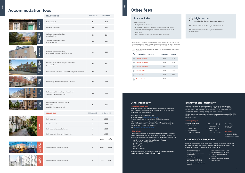











|                             | <b>BELL CAMBRIDGE</b>                                                               | <b>MINIMUM AGE</b> | <b>SINGLE ROOM</b>                                |
|-----------------------------|-------------------------------------------------------------------------------------|--------------------|---------------------------------------------------|
| HOMESTAY                    | Daily breakfast                                                                     | 16                 | £185                                              |
|                             | Breakfast and dinner                                                                | 16                 | £215                                              |
| BELL GARDEN<br>HOUSE        | Self-catering, shared kitchen,<br>shared bathroom                                   | 18                 | £285                                              |
|                             | Self-catering, shared kitchen,<br>private bathroom                                  | 18                 | £315                                              |
| SORRENTO                    | Self-catering, shared kitchen,<br>private bathroom, daily breakfast buffet          | $16+$              | £315                                              |
| THE FRANK BELL<br>RESIDENCE | Standard room, self-catering, shared kitchen,<br>private bathroom                   | 18                 | £325                                              |
|                             | Premium room, self-catering, shared kitchen, private bathroom                       | 18                 | £345                                              |
| TRIPOS<br>COURT             | Self-catering, shared kitchen, private bathroom                                     | 18                 | £315                                              |
| THE<br>RAILYARD             | Self-catering, kitchenette, private bathroom<br>Available during summer only        | 18                 | £315                                              |
| LARS<br>JSE<br>DOH<br>POS   | Private bathroom, breakfast, dinner<br>(Half board)<br>Available during summer only | 16                 | £380                                              |
|                             | <b>BELL LONDON</b>                                                                  | <b>MINIMUM AGE</b> | <b>SINGLE ROOM</b>                                |
|                             | Daily breakfast                                                                     | 16                 | £200                                              |
| <b>HOMESTAY</b>             | Breakfast and dinner                                                                | 16                 | £265                                              |
|                             | Daily breakfast, private bathroom                                                   | 16                 | £265                                              |
|                             | Daily breakfast, dinner, private bathroom                                           | 16                 | £325                                              |
|                             |                                                                                     |                    | $1 - 11$<br>$12+$<br><b>WEEKS</b><br><b>WEEKS</b> |
| CHAPTER<br>SOUTH BANK       | Shared kitchen, private bathroom                                                    | 18                 | £460<br>£430                                      |
| <b>RAPERY</b><br>PLACE      | Shared kitchen, private bathroom                                                    | 18                 | £395<br>£395                                      |





In addition to course fees, all bookings are subject to a  $E95$  registration fee. A non-refundable deposit of £480 is payable for all courses. This includes the £95 registration fee.



Published prices are correct at time of going to print and are subject to change without notice. Some afternoon modules may be subject to availability. For full terms and conditions, visit bellenglish.com/termsconditions



## **Accommodation fees**

# **Other fees**

*Prices shown for accommodation are weekly. All accommodation is on a single room basis unless specified. A refundable £100 deposit is payable on arrival at The Railyard, Sorrento, Scholars House, Bell Garden House, and The Frank Bell Residence.* 

*All homestay accommodation is subject to a £30 per week special diet supplement, where applicable.* 

## **Other information**

**Deposit, insurance & terms** 

Travel insurance is included in the fees; for more details visit b Please note: our insurance does not cover UK domicile residents.

> **Academic Year Programme**<br>
> All Effective English and Exam Preparation bookings of 24 weeks or more will<br>
> automatically be enrolled onto our Academic Year Programme. Students will<br>
> receive the following extra benefits, at n All Effective English and Exam Preparation bookings of 24 weeks or more will automatically be enrolled onto our Academic Year Programme. Students will receive the following extra benefits, at no extra charge:

## **Public holidays**

Centres are closed on the UK public holidays listed below and classes are replaced by a free excursion. If a public holiday occurs at the start of the course, students should reserve their place on the excursion before arrival:

- Monday 3 January (school opens Tuesday 4 January)
- Friday 15 April Monday 18 April
- Monday 2 May
- Thursday 2 June
- Friday 3 June Monday 29 August

Our centres close for the Christmas holidays on **Friday 16 December 2022** and reopen on **Tuesday 3 January 2023.**

## **Price includes:**

- Personal learning goals
- Weekly progress tests to assess
- your learning
- 6-weekly progress reports
- Weekl one-to-one progress tutorials with your teacher
- Guest speaker talks by university lecturers
- Free university counselling and help with university applications
- A wide range of enrichment
- activities
- Free excursions every two weeks
- Free insurance
- Course materials
- Comprehensive insurance
- A weekly programme of workshops, social activities and trips
- Access to the Learning resource Centre and a wide range of resources
- Free and impartial Higher Education Advisory Service

## **Exam fees and information**

Students enrolled on an exam preparation course are not automatically entered for the exam, unless otherwise stated. Due to limited availability, we recommend that exams are reserved before the course starts to avoid disappointment. We can help arrange this prior to arrival.

Please note that transfers to and from exam centres are not included. For UKVI IELTS, we help students book the exam and the fee is payable online directly to the exam board.

| <b>Taxi transfers</b> one way | <b>CAMBRIDGE</b> | <b>LONDON</b> |
|-------------------------------|------------------|---------------|
| <b>London Gatwick</b>         | £215             | £135          |
| <b>London Heathrow</b>        | £195             | £115          |
| <b>London Stansted</b>        | f110             | £135          |
| <b>London Luton</b>           | £120             | £135          |
| <b>London City</b>            | f170             | £105          |
| <b>Central London</b><br>⊙    | £180             |               |



A £35 per week supplement is payable on all courses

A £25 per week supplement is payable for homestay accommodation

## **Cambridge English**

### **FCE Exam dates (£180):**

- Friday 11 March
- Tuesday 7 June
- Thursday 28 July
- Saturday 10 December

## **IELTS exam**

**All four skills (£190):** *Dates available on request*

## **CAE Exam dates (£180):**

- Saturday 12 March
- Wednesday 8 June
- Friday 29 July
- Saturday 10 December

**CPE (£180):** *Dates available on request*

**ADULTS**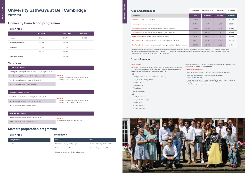# **University pathways at Bell Cambridge 2022-23**

## **Other information**

## **Public holidays**

Centres are closed on the UK public holidays listed below and classes are replaced by a free excursion. If a public holiday occurs at the start of the course, students should reserve their place on the excursion before arrival.

## **2022**

- Monday 3 January (school opens Tuesday 4 January)
- Friday 15 April Monday 18 April
- Monday 2 May
- Thursday 2 June
- Friday 3 June
- Monday 29 August

## **2023**

- Monday 2 January
- Friday 7 Monday 10 April
- Monday 1 May
- Monday 29 May
- Monday 28 August

Bell Cambridge closes for the Christmas holidays on **Friday 16 December 2022** and reopens on **Tuesday 3 January 2023.**

## **Deposit, insurance & terms**

- A non-refundable deposit of £1,200 per term is payable for all courses.
- Travel insurance is included in the fees; for more details visit bellenglish.com/insurance
- Please note that prices are correct at time of going to print and are subject to change without notice. For full terms and conditions, visit bellenglish.com/terms-policies

| ccommodation fees                                                                       | <b>EXTENDED</b> | <b>ACADEMIC YEAR</b> | <b>FAST-TRACK</b> | <b>MASTERS</b>  |
|-----------------------------------------------------------------------------------------|-----------------|----------------------|-------------------|-----------------|
| <b>CAMBRIDGE</b>                                                                        | 52 WEEKS*       | 38 WEEKS*            | 26 WEEKS*         | <b>12 WEEKS</b> |
| Homestay: daily bed and breakfast                                                       | £9,620          | £7,030               | £4,810            | £2.220          |
| Homestay: daily bed, breakfast and dinner                                               | £11,180         | £8,170               | £5,590            | £2,580          |
| Bell Garden House: self-catering (shared kitchen), shared bathroom                      | £14,820         | £10,830              | £7,410            | £3,240          |
| <b>Bell Garden House:</b> self-catering (shared kitchen), private bathroom              | £16,380         | £11,970              | £8,190            | £3.780          |
| <b>Sorrento:</b> self-catering (shared kitchen) and daily breakfast                     | £16,380         | £11,970              | £8,190            | £3.780          |
| <b>The Frank Bell Residence:</b> self-catering (shared kitchen) private bathroom        | £16,900         | £12,350              | £8,450            | £3,900          |
| The Frank Bell Residence: premium room, self-catering (shared kitchen) private bathroom | £17,940         | £13,110              | £8,970            | £4,140          |



\*Length of stay includes retention of accommodation between terms excluding the Christmas period when the school is closed. A £32 per week retainer fee is payable for homestay accommodation over Christmas. A £100 deposit is payable on arrival for all Cambridge residences. There is a £30 per week Special Diet Supplement for homestay accommodation, where applicable.

## **Tuition fees**

|                                  | <b>EXTENDED</b> | <b>ACADEMIC YEAR</b> | <b>FAST-TRACK</b> |
|----------------------------------|-----------------|----------------------|-------------------|
| <b>Business</b>                  | £25,600         | £19.170              | £14.700           |
| <b>Science &amp; Engineering</b> | £25,600         | £19.170              |                   |
| <b>Humanities</b>                | £25,600         | £19.170              |                   |
| Law                              | £25,600         | £19,170              |                   |
| <b>Agricultural science</b>      |                 | £19,170              |                   |

## **Term dates**

## **EXTENDED (48 WEEKS)**

**Term 1 (Extended only):** Monday 27 June - Friday 16 September 2022

**Holidays:** • Monday 19 December - Friday 7 January 2023

• Monday 3 April - Friday 14 April 2023

**Term 2:** Monday 26 September - Friday 16 December 2022

**Term 3:** Monday 9 January - Friday 31 March 2023

**Term 4:** Monday 17 April - Friday 7 July 2023

## **ACADEMIC YEAR (36 WEEKS)**

**Term 1:** Monday 26 September - Friday 16 December 2022

## **Holidays:**

• Monday 19 December - Friday 7 January 2023 • Monday 3 April - Friday 14 April 2023

**Term 2:** Monday 9 January - Friday 31 March 2023

**Term 3:** Monday 17 April - Friday 7 July 2023

## **FAST-TRACK (24 WEEKS)**

**Term 1:** Monday 9 January - Friday 31 March 2023

• Monday 3 April - Friday 14 April 2023

**Term 2:** Monday 17 April - Friday 7 July 2023

## **Tuition fees**

**Termly tuition fee**

£6,430

| <b>Term dates</b> |  |
|-------------------|--|
|-------------------|--|

| 2022                                     | 2023                               |
|------------------------------------------|------------------------------------|
| Monday 10 January - Friday 1 April       | Monday 9 January - Friday 31 March |
| Friday 1 July - Friday 8 July            | Monday 17 April - Friday 7 July    |
| Monday 26 September - Friday 16 December |                                    |

## $Accommunication **fees**$

## **University Foundation programme**

## **Masters preparation programme**

**UNIVERSITY PATHWAYS**

**HINH AIRS** 

**Homestay:** daily bed and breakfast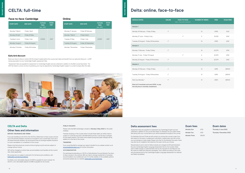## **Early bird discount**

Book your face-to-face or online CELTA at least 4 weeks before the course start date and benefit from our early bird discount - a £157 saving equivalent to your Cambridge English assessment fees.

\*Assessment fees are payable for assessment to Cambridge English and are collected in addition to the Bell course fees listed. The £157 fee listed is correct at time of publishing, but may be adjusted by Cambridge English subject to a small increase after this date.

# **CELTA: full-time**

| <b>START DATE</b> | <b>END DATE</b>   | <b>TUITION</b><br><b>FEES</b><br>(exc. VAT) | <b>EXAM</b><br>FEE* |
|-------------------|-------------------|---------------------------------------------|---------------------|
| Monday 7 March    | Friday 1 April    |                                             |                     |
| Monday 25 April   | Friday 20 May     |                                             |                     |
| Tuesday 6 June    | Friday 1 July     | £1.500                                      | £157                |
| Monday 1 August   | Friday 26 August  |                                             |                     |
| Monday 3 October  | Friday 28 October |                                             |                     |

## **Face-to-face: Cambridge**

# **Delta: online, face-to-face**

## **CELTA and Delta**

## **Other fees and information**

**DEPOSIT, INSURANCE AND TERMS** 

If you are travelling to the UK for the CELTA or Delta face-to-face course, and are not a UK domicile resident, insurance is included in your course fees. If you are a UK-based domicile resident, we recommend that you arrange suitable insurance to cover cancellation or curtailment of the course.

> For participants attending our CELTA or Delta Module One and Module Two faceto-face courses in the summer, Bell can help to arrange residential or homestay accommodation at an additional cost. For further details on the available options and prices please see our website: [bellenglish.com/Cambridge](http://www.bellenglish.com/Cambridge)

Please note that prices are correct at time of going to print and are subject to change without notice.

VAT will be charged on tuition fees, accommodation and transfers at the current rate, where applicable.

All courses are run subject to demand. For full terms and conditions, visit bellenglish.com/termsconditions

For Delta a non-refundable deposit of £300 is payable for each module. For CELTA a non-refundable deposit of £385 is payable for all courses.

## **PUBLIC HOLIDAYS**

Please note that Bell Cambridge is closed on **Monday 2 May 2022** for UK public holidays.

Trainees studying on the courses which include these dates can either reserve a place on a full-day excursion with Bell before arrival or use the day to prepare for the week's lessons. The tuition time missed during the public holidays will be added on to the rest of the course.

## **TRANSFERS**

If you would like Bell to arrange your airport transfer for you, please contact us at enquiries@bellenglish.com for further information

## **ACCOMMODATION**

| <b>MODULE DATES</b>                       | <b>ONLINE</b> | <b>FACE-TO-FACE</b><br>(BELL TEACHER ACADEMY) | <b>NUMBER OF WEEKS</b> | <b>FEES</b> | <b>EXAM FEES</b> |
|-------------------------------------------|---------------|-----------------------------------------------|------------------------|-------------|------------------|
| Module 1                                  |               |                                               |                        |             |                  |
| Monday 14 February - Friday 13 May        | $\checkmark$  |                                               | 13                     | £955        | £122             |
| Monday 27 June - Friday 8 July            |               | $\checkmark$                                  | $\overline{2}$         | £1,035      | £122             |
| Tuesday 30 August - Friday 25 November    | $\checkmark$  |                                               | 13                     | £955        | £122             |
| Module 2                                  |               |                                               |                        |             |                  |
| Monday 7 February - Friday 13 May         | $\checkmark$  |                                               | 14                     | £2,270      | £152             |
| Monday 11 July - Friday 19 August         |               | $\checkmark$                                  | 6                      | £2,475      | £152             |
| Monday 22 August - Friday 25 November     | $\checkmark$  |                                               | 14                     | £2,270      | £152             |
| Module 3                                  |               |                                               |                        |             |                  |
| Monday 21 February - Friday 13 May        | $\checkmark$  |                                               | 12                     | £495        | £85.50           |
| Tuesday 30 August - Friday 18 November    | $\checkmark$  |                                               | 12                     | £495        | £85.50           |
| Start any Monday*                         | $\checkmark$  |                                               | 12                     | £550        | £85.50           |
| Book all 3 mondules and save £200, or pay |               |                                               |                        |             |                  |

## **Exam fees**

**Module One** £122 **Module Two** £152 **Module Three** £85.50

## **Delta assessment fees**

Assessment fees are payable for assessment by Cambridge English and are collected in addition to the course fees listed. For Module Two we collect these fees along with your course fees as you will be assessed throughout the course.

For Modules One and Three we will contact you during the course to see if you feel ready for the exam or assignment submission, respectively, and will invoice you accordingly at a later stage. Please note that for the Module One exam, there may also be an invigilation fee raised by the exam centre you choose.

Resubmissions and re-sits for Delta modules are charged at £35 administration fee plus Cambridge English Language Assessment fee for the module. Delta team at Bell charges no administration fee for the requests for the Reports and Re-marks for failed and referred candidates. This is dealt according to the costs and procedures set by the Cambridge English Language Assessment for referred and failed candidates.

**the full price in monthly instalments.**

**TEACHER TRAINING**

EACHER TRAINING

| <b>START DATE</b> | <b>END DATE</b>     | <b>TUITION</b><br><b>FEES</b><br>(exc. VAT) | <b>EXAM</b><br>FEE* |
|-------------------|---------------------|---------------------------------------------|---------------------|
| Monday 17 January | Friday 18 February  |                                             |                     |
| Monday 7 March    | Friday 8 April      |                                             |                     |
| Tuesday 31 May    | Friday 1 July       | £1,500                                      | £157                |
| Tuesday 30 August | Friday 30 September |                                             |                     |
| Monday 7 November | Friday 9 December   |                                             |                     |

## **Online**

## **Exam dates**

**Thursday 2 June 2022 Thursday 1 December 2022**

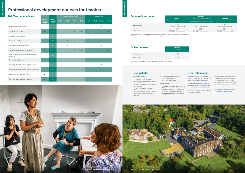| <b>Face-to-face courses</b> | <b>PACKAGE1</b><br>Single room, private bathroom, half board | <b>PACKAGE 2</b><br>Twin room and private bathroom, half board<br><b>or</b><br>Single room and shared bathroom, half board | <b>PACKAGE 3</b><br>Single room, private bathroom, self catered |  |  |
|-----------------------------|--------------------------------------------------------------|----------------------------------------------------------------------------------------------------------------------------|-----------------------------------------------------------------|--|--|
| 2-week course               | £1.825                                                       | £1.695                                                                                                                     | £1.695                                                          |  |  |
|                             | €2,300 (for Erasmus + only)                                  | €2,140 (for Erasmus + only)                                                                                                | €2,140 (for Erasmus + only)                                     |  |  |
| 1-week course               | £910                                                         | £845                                                                                                                       | £845                                                            |  |  |
|                             | €1,150 (for Erasmus + only)                                  | €1,070 (for Erasmus + only)                                                                                                | €1,070 (for Erasmus + only)                                     |  |  |
|                             |                                                              |                                                                                                                            |                                                                 |  |  |

*Please note: A non-refundable deposit of £385 applies for all participants who are not funded through Erasmus+. \*For Erasmus+ courses, please check criteria before booking.*

# **Professional development courses for teachers**

| <b>Bell Teacher Academy</b>                             |                                                     |                                                   |                         |                          | <b>FACE-TO-FACE COURSES</b>   |                            |                         |                          | <b>ONLINE COURSES</b>     |                            |
|---------------------------------------------------------|-----------------------------------------------------|---------------------------------------------------|-------------------------|--------------------------|-------------------------------|----------------------------|-------------------------|--------------------------|---------------------------|----------------------------|
|                                                         | <b>AVAILABLE</b><br><b>F2F AND</b><br><b>ONLINE</b> | <b>MINIMUM</b><br><b>LANGUAGE</b><br><b>LEVEL</b> | $3 - 16$<br><b>JULY</b> | $17 - 30$<br><b>JULY</b> | 31 JULY -<br><b>13 AUGUST</b> | $14 - 27$<br><b>AUGUST</b> | $4 - 15$<br><b>JULY</b> | $18 - 29$<br><b>JULY</b> | $1 - 12$<br><b>AUGUST</b> | $15 - 26$<br><b>AUGUST</b> |
| Becoming a teacher trainer                              |                                                     | C1                                                |                         |                          |                               |                            |                         |                          | $\checkmark$              |                            |
| <b>Contemporary English</b>                             | ✓                                                   | C <sub>1</sub>                                    | $\checkmark$            |                          | $\checkmark$                  | $\checkmark$               | $\checkmark$            |                          | $\checkmark$              | ✓                          |
| Creativity in the classroom                             | ✓                                                   | <b>B2</b>                                         | $\checkmark$            | $\checkmark$             | $\checkmark$                  | $\checkmark$               | $\checkmark$            | $\checkmark$             | $\checkmark$              |                            |
| <b>British Life and Culture</b>                         |                                                     | <b>B2</b>                                         | $\checkmark$            | $\checkmark$             |                               |                            |                         |                          |                           |                            |
| Educational technology today                            | $\checkmark$                                        | <b>B1</b>                                         |                         | $\checkmark$             | $\checkmark$                  |                            |                         | $\checkmark$             | $\checkmark$              |                            |
| Language development for teachers                       | ✓                                                   | A2                                                |                         | $\checkmark$             | $\checkmark$                  | $\checkmark$               |                         | $\checkmark$             | $\checkmark$              | $\checkmark$               |
| Pronunciation and storytelling with Adrian<br>Underhill |                                                     | <b>B2</b>                                         | $\checkmark$            |                          |                               |                            |                         |                          |                           |                            |
| <b>Teaching English online</b>                          |                                                     | <b>B2</b>                                         |                         |                          |                               |                            | $\checkmark$            |                          |                           |                            |
| Teaching other subjects in English: primary             |                                                     | <b>B1</b>                                         |                         |                          |                               |                            |                         |                          | $\checkmark$              |                            |
| Teaching other subjects in English: secondary           |                                                     | <b>B2</b>                                         |                         |                          |                               |                            |                         | $\checkmark$             |                           |                            |
| Teaching young learners: Primary                        | $\checkmark$                                        | <b>B1</b>                                         |                         | $\checkmark$             | $\checkmark$                  |                            |                         | ✓                        | $\checkmark$              |                            |
| Teaching young learners: Secondary                      | ✓                                                   | <b>B2</b>                                         | $\checkmark$            | $\checkmark$             | $\checkmark$                  |                            | $\checkmark$            | ✓                        | $\checkmark$              |                            |







*European teachers may be eligible for Erasmus + funding. For a guide to funding, please visit bellenglish.com/teachers*

*Travel insurance is included in the faceto-face course fees. For more information, please visit bellenglish.com/insurance.* 

*Please note, our insurance does not cover UK domicile residents.* 

*Please note that prices are correct at time of going to print and are subject to change without notice. VAT will be charged at the current rate where applicable. All courses are run subject to demand.* 

*For full terms and conditions visit bellenglish.com/termsconditions*

## *Online courses:*

- *• 15 hours of main course tuition per week • 5.5 hours per week of optional afternoon workshops and talks on current trends*
- *in the teaching and learning sector • Digital certificate of achievement at the end of the course*

## *Face-to-face courses:*

- *• 21.5 hours of tuition per week*
- *• Accommodation and catering/boarding as outlined above*
- *• Weekly plenary lecture by well-known*
- *ELT speakers • Weekly workshops on hot topics*
- *• Weekly cultural talk*
- *• Core programme of social and cultural events including a day excursion to London*
- *• Comprehensive travel insurance for non-UK residents*
- *• End of course certificate*

## **Fees include: Other information**

**TEACHER TRAINING**

**TEACHER TRAINING** 

| <b>Online courses</b> | <b>COURSE FEE</b><br>15-hour/week<br>(Mon-Fri 9.30am - 1pm UK time) |
|-----------------------|---------------------------------------------------------------------|
| 2-week course         | f400                                                                |
| 1-week course         | f200                                                                |

*Please note: No registration fee or deposit is required for online course bookings*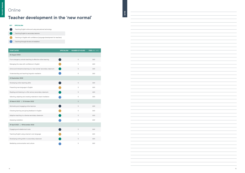# Online

# **Teacher development in the 'new normal'**





| <b>START DATES</b>                                                    | <b>SPECIALISM</b> | <b>NUMBER OF HOURS</b> | FEES (INC. VAT) |
|-----------------------------------------------------------------------|-------------------|------------------------|-----------------|
| <b>26 August 2022</b>                                                 |                   |                        |                 |
| From emergency remote teaching to effective online learning           |                   | 5                      | £60             |
| Managing the class with confidence in English                         |                   | 5                      | £60             |
| Active and interactive learning in a 'new normal' secondary classroom |                   | 5                      | £60             |
| Understanding and teaching linguistic mediation                       |                   | 5                      | £60             |
| 23 September 2022                                                     |                   |                        |                 |
| Developing online teaching skills                                     |                   | 5                      | £60             |
| Presenting new language in English                                    |                   | 5                      | £60             |
| Reading and listening in a 21st century secondary classroom           |                   | 5                      | £60             |
| Selecting, adapting and creating materials to teach mediation         |                   | 5                      | £60             |
| 25 March 2022   21 October 2022                                       |                   | 5                      |                 |
| Motivating and engaging online learners                               |                   | 5                      | £60             |
| Checking learning and giving feedback in English                      |                   | 5                      | £60             |
| Adaptive teaching in a diverse secondary classroom                    |                   | 5                      | £60             |
| Assessing mediation                                                   |                   | 5                      | £60             |
| 29 April 2022   18 November 2022                                      |                   |                        |                 |
| Engaging and reliable tech tools                                      |                   | 5                      | £60             |
| Teaching English using a learner's own language                       |                   | 5                      | £60             |
| Developing writing skills in a secondary classroom                    |                   | 5                      | £60             |
| Mediating communication and culture                                   |                   | 5                      | £60             |



**TEACHER TRAINING**

**TEACHER TRAINING** 

**NOTES**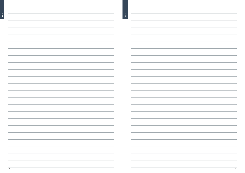| <b>NOTES</b>                                                                    |  |
|---------------------------------------------------------------------------------|--|
|                                                                                 |  |
|                                                                                 |  |
|                                                                                 |  |
|                                                                                 |  |
|                                                                                 |  |
|                                                                                 |  |
|                                                                                 |  |
|                                                                                 |  |
|                                                                                 |  |
|                                                                                 |  |
|                                                                                 |  |
|                                                                                 |  |
|                                                                                 |  |
|                                                                                 |  |
|                                                                                 |  |
|                                                                                 |  |
|                                                                                 |  |
|                                                                                 |  |
|                                                                                 |  |
|                                                                                 |  |
|                                                                                 |  |
|                                                                                 |  |
|                                                                                 |  |
|                                                                                 |  |
|                                                                                 |  |
|                                                                                 |  |
|                                                                                 |  |
|                                                                                 |  |
|                                                                                 |  |
|                                                                                 |  |
|                                                                                 |  |
|                                                                                 |  |
|                                                                                 |  |
|                                                                                 |  |
|                                                                                 |  |
|                                                                                 |  |
|                                                                                 |  |
|                                                                                 |  |
|                                                                                 |  |
|                                                                                 |  |
|                                                                                 |  |
| the control of the                                                              |  |
|                                                                                 |  |
| the contract of the con-                                                        |  |
| the contract of the contract of the contract of the contract of the contract of |  |
|                                                                                 |  |
| the control of the control of the control of the control of                     |  |
| <u> 1989 - Johann Barnett, fransk politiker (</u>                               |  |
|                                                                                 |  |
| the contract of the contract of the contract of the contract of the contract of |  |
| the control of the control                                                      |  |
|                                                                                 |  |
| $\sim$ 100 $\mu$ m $^{-1}$                                                      |  |
|                                                                                 |  |
| the control of the control of the control of the control of the control of      |  |
|                                                                                 |  |
|                                                                                 |  |
|                                                                                 |  |
|                                                                                 |  |
|                                                                                 |  |
| the company of the company                                                      |  |
| the contract of the contract of                                                 |  |
|                                                                                 |  |
|                                                                                 |  |
|                                                                                 |  |

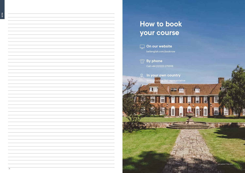

ast updated: 17 May 2022

圖

閧